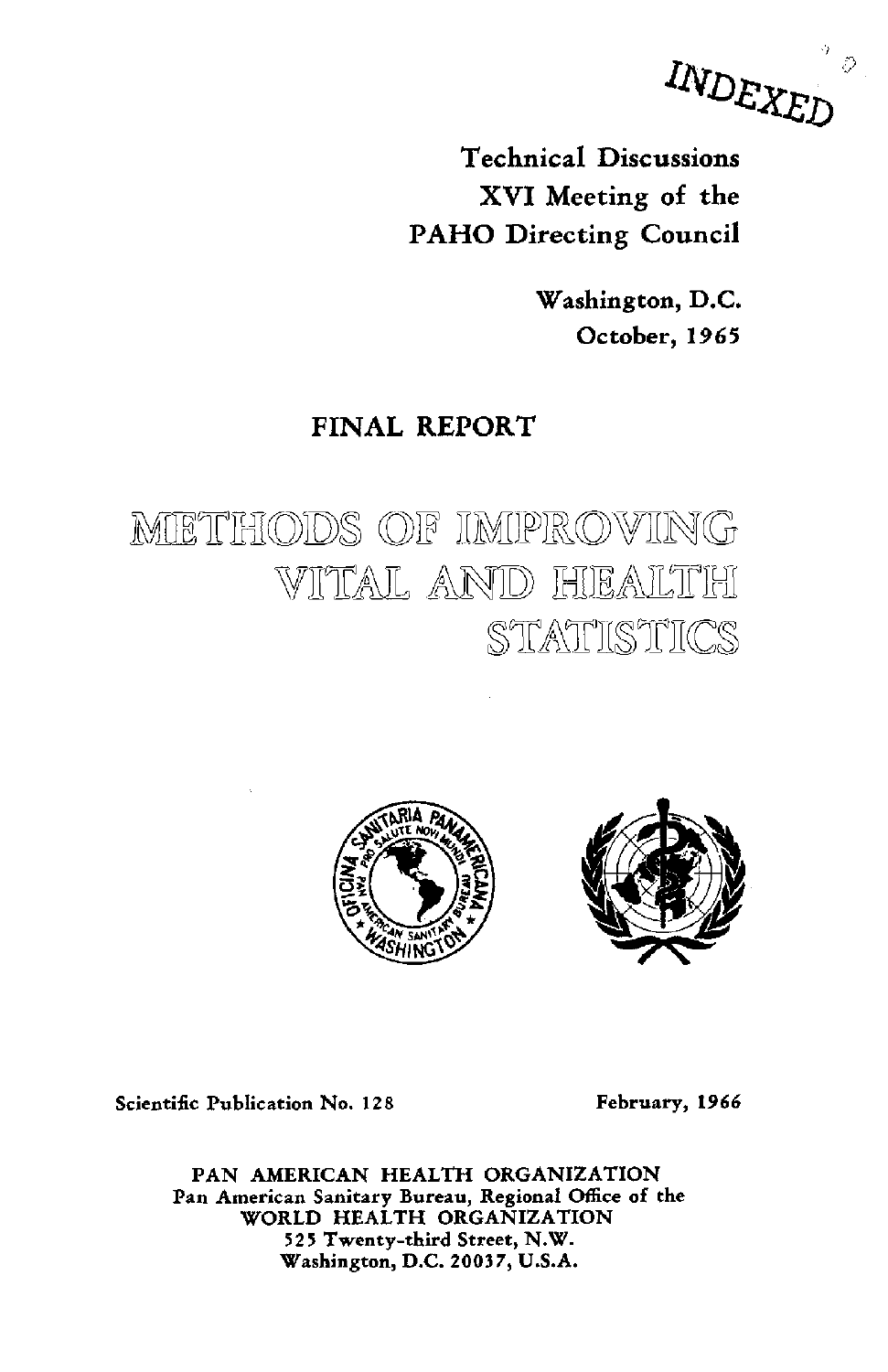INDEXED  $\mathcal{C}$ 

Technical Discussions XVI Meeting of the PAHO Directing Council

> Washington, D.C. October, 1965

# FINAL REPORT

METHODS OF IMPROVING VITAL AND HEALTH §TMHITICS





Scientific Publication No. 128 February, 1966

PAN AMERICAN HEALTH ORGANIZATION Pan American Sanitary Bureau, Regional Office of the WORLD HEALTH ORGANIZATION 525 Twenty-third Street, N.W. Washington, D.C. 20037, U.S.A.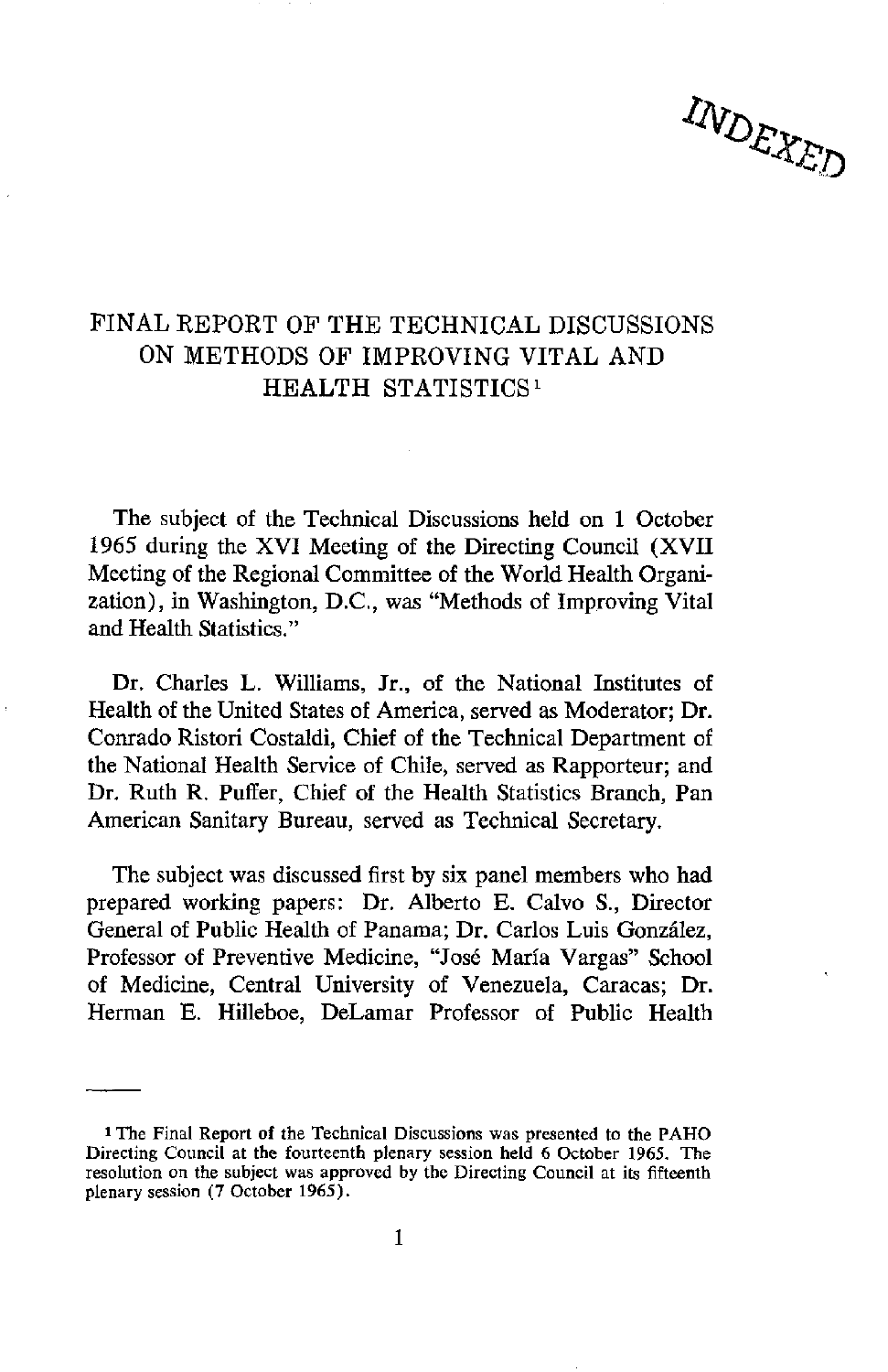# INDEXED

# FINAL REPORT OF THE TECHNICAL DISCUSSIONS ON METHODS OF IMPROVING VITAL AND HEALTH STATISTICS 1

The subject of the Technical Discussions held on 1 October 1965 during the XVI Meeting of the Directing Council (XVII Meeting of the Regional Committee of the World Health Organization), in Washington, D.C., was "Methods of Improving Vital and Health Statistics."

Dr. Charles L. Williams, Jr., of the National Institutes of Health of the United States of America, served as Moderator; Dr. Conrado Ristori Costaldi, Chief of the Technical Department of the National Health Service of Chile, served as Rapporteur; and Dr. Ruth R. Puffer, Chief of the Health Statistics Branch, Pan American Sanitary Bureau, served as Technical Secretary.

The subject was discussed first by six panel members who had prepared working papers: Dr. Alberto E. Calvo S., Director General of Public Health of Panama; Dr. Carlos Luis González, Professor of Preventive Medicine, "José María Vargas" School of Medicine, Central University of Venezuela, Caracas; Dr. Herman E. Hilleboe, DeLamar Professor of Public Health

<sup>1</sup> The Final Report of the Technical Discussions was presented to the PAHO Directing Council at the fourteenth plenary session held 6 October 1965. The resolution on the subject was approved by the Directing Council at its fifteenth plenary session (7 October 1965).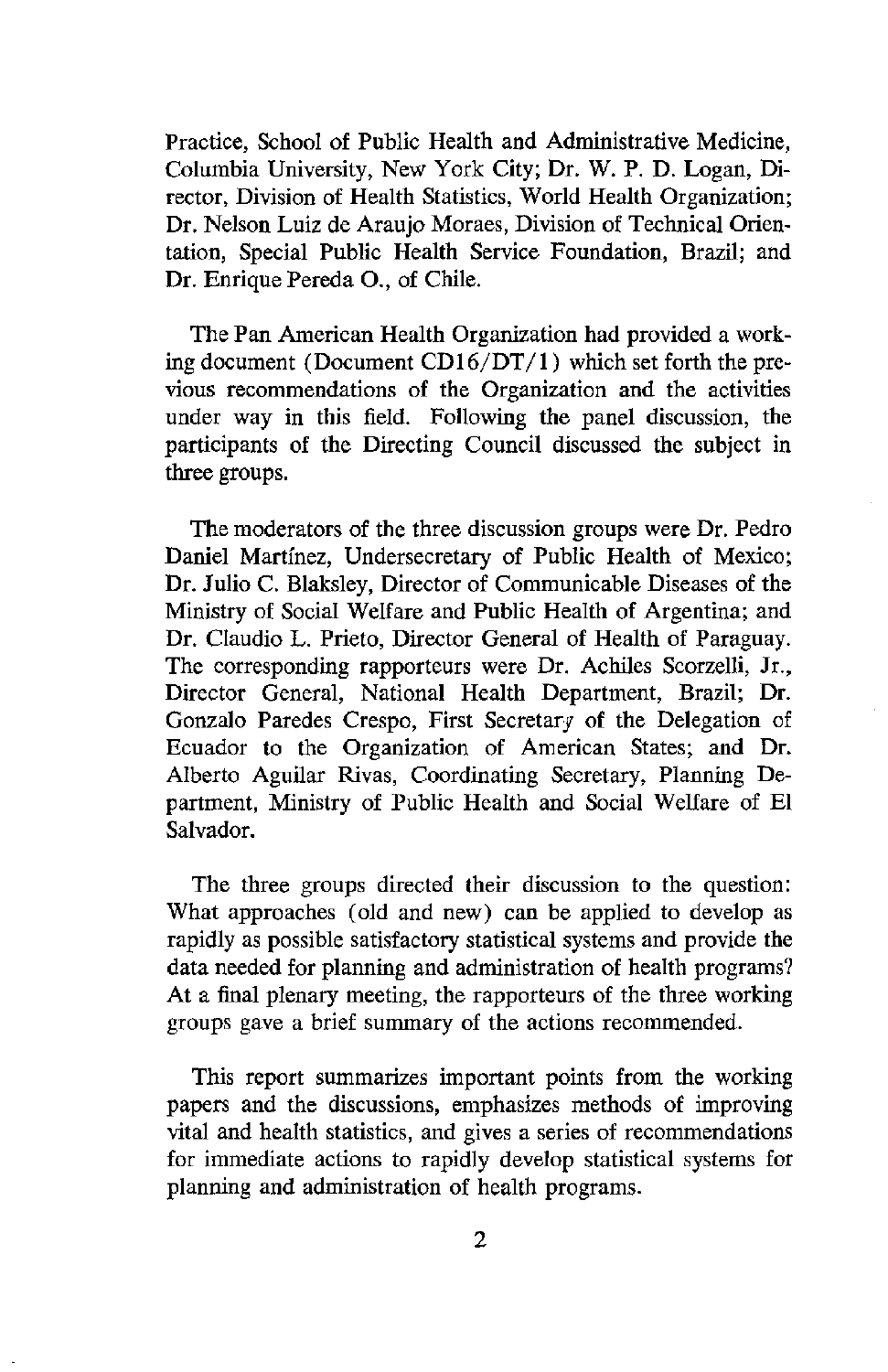Practice, School of Public Health and Administrative Medicine, Columbia University, New York City; Dr. W. P. D. Logan, Director, Division of Health Statistics, World Health Organization; Dr. Nelson Luiz de Araujo Moraes, Division of Technical Orientation, Special Public Health Service Foundation, Brazil; and Dr. Enrique Pereda O., of Chile.

The Pan American Health Organization had provided a working document (Document CD1 $6/DT/1$ ) which set forth the previous recommendations of the Organization and the activities under way in this field. Following the panel discussion, the participants of the Directing Council discussed the subject in three groups.

The moderators of the three discussion groups were Dr. Pedro Daniel Martínez, Undersecretary of Public Health of Mexico; Dr. Julio C. Blaksley, Director of Communicable Diseases of the Ministry of Social Welfare and Public Health of Argentina; and Dr. Claudio L. Prieto, Director General of Health of Paraguay. The corresponding rapporteurs were Dr. Achiles Scorzelli, Jr., Director General, National Health Department, Brazil; Dr. Gonzalo Paredes Crespo, First Secretary of the Delegation of Ecuador to the Organization of American States; and Dr. Alberto Aguilar Rivas, Coordinating Secretary, Planning Department, Ministry of Public Health and Social Welfare of El Salvador.

The three groups directed their discussion to the question: What approaches (old and new) can be applied to develop as rapidly as possible satisfactory statistical systems and provide the data needed for planning and administration of health programs? At a final plenary meeting, the rapporteurs of the three working groups gave a brief summary of the actions recommended.

This report summarizes important points from the working papers and the discussions, emphasizes methods of improving vital and health statistics, and gives a series of recommendations for immediate actions to rapidly develop statistical systems for planning and administration of health programs.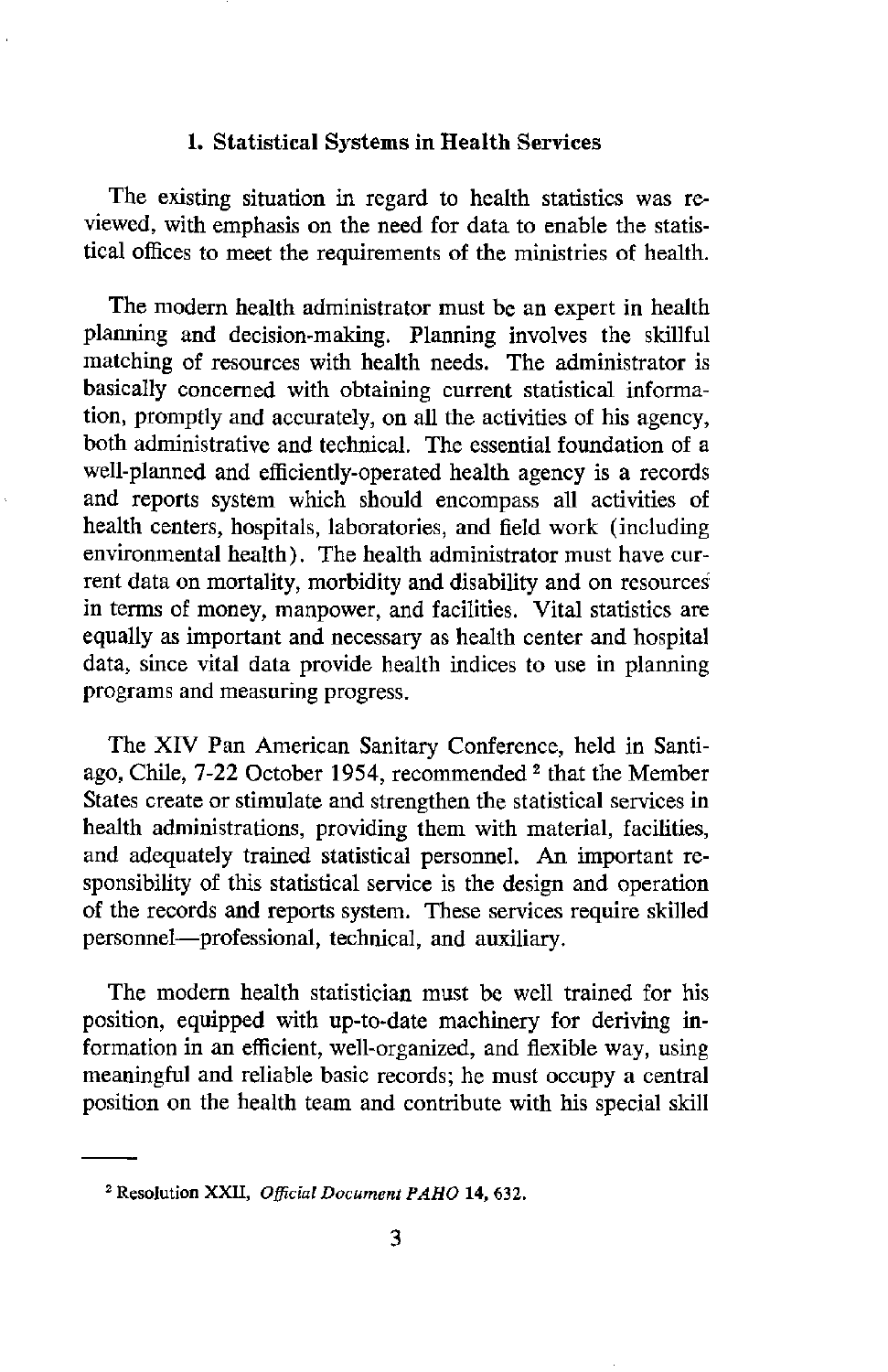#### 1. **Statistical Systems in Health Services**

The existing situation in regard to health statistics was reviewed, with emphasis on the need for data to enable the statistical offices to meet the requirements of the ministries of health.

The modern health administrator must be an expert in health planning and decision-making. Planning involves the skillful matching of resources with health needs. The administrator is basically concerned with obtaining current statistical information, promptly and accurately, on all the activities of his agency, both administrative and technical. The essential foundation of a well-planned and efficiently-operated health agency is a records and reports system which should encompass all activities of health centers, hospitals, laboratories, and field work (including environmental health). The health administrator must have current data on mortality, morbidity and disability and on resources in terms of money, manpower, and facilities. Vital statistics are equally as important and necessary as health center and hospital data, since vital data provide health indices to use in planning programs and measuring progress.

The XIV Pan American Sanitary Conference, held in Santiago, Chile, 7-22 October 1954, recommended 2 that the Member States create or stimulate and strengthen the statistical services in health administrations, providing them with material, facilities, and adequately trained statistical personnel. An important responsibility of this statistical service is the design and operation of the records and reports system. These services require skilled personnel-professional, technical, and auxiliary.

The modern health statistician must be well trained for his position, equipped with up-to-date machinery for deriving information in an efficient, well-organized, and flexible way, using meaningful and reliable basic records; he must occupy a central position on the health team and contribute with his special skill

<sup>2</sup> Resolution XXII, *Official Document PAHO* **14,** 632.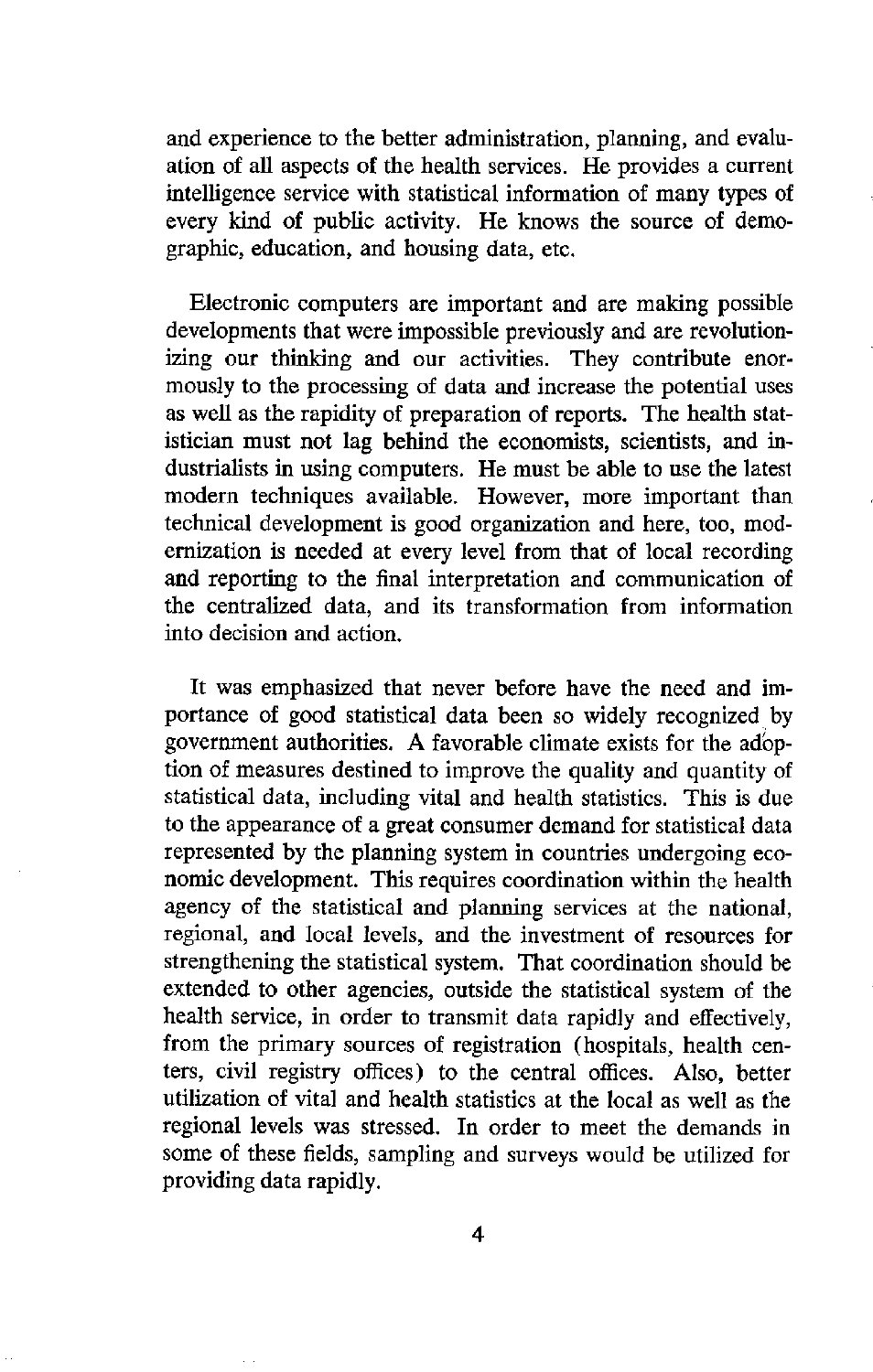and experience to the better administration, planning, and evaluation of all aspects of the health services. He provides a current intelligence service with statistical information of many types of every kind of public activity. He knows the source of demographic, education, and housing data, etc.

Electronic computers are important and are making possible developments that were impossible previously and are revolutionizing our thinking and our activities. They contribute enormously to the processing of data and increase the potential uses as well as the rapidity of preparation of reports. The health statistician must not lag behind the economists, scientists, and industrialists in using computers. He must be able to use the latest modern techniques available. However, more important than technical development is good organization and here, too, modernization is needed at every level from that of local recording and reporting to the final interpretation and communication of the centralized data, and its transformation from information into decision and action.

It was emphasized that never before have the need and importance of good statistical data been so widely recognized by government authorities. A favorable climate exists for the adoption of measures destined to improve the quality and quantity of statistical data, including vital and health statistics. This is due to the appearance of a great consumer demand for statistical data represented by the planning system in countries undergoing economic development. This requires coordination within the health agency of the statistical and planning services at the national, regional, and local levels, and the investment of resources for strengthening the statistical system. That coordination should be extended to other agencies, outside the statistical system of the health service, in order to transmit data rapidly and effectively, from the primary sources of registration (hospitals, health centers, civil registry offices) to the central offices. Also, better utilization of vital and health statistics at the local as well as the regional levels was stressed. In order to meet the demands in some of these fields, sampling and surveys would be utilized for providing data rapidly.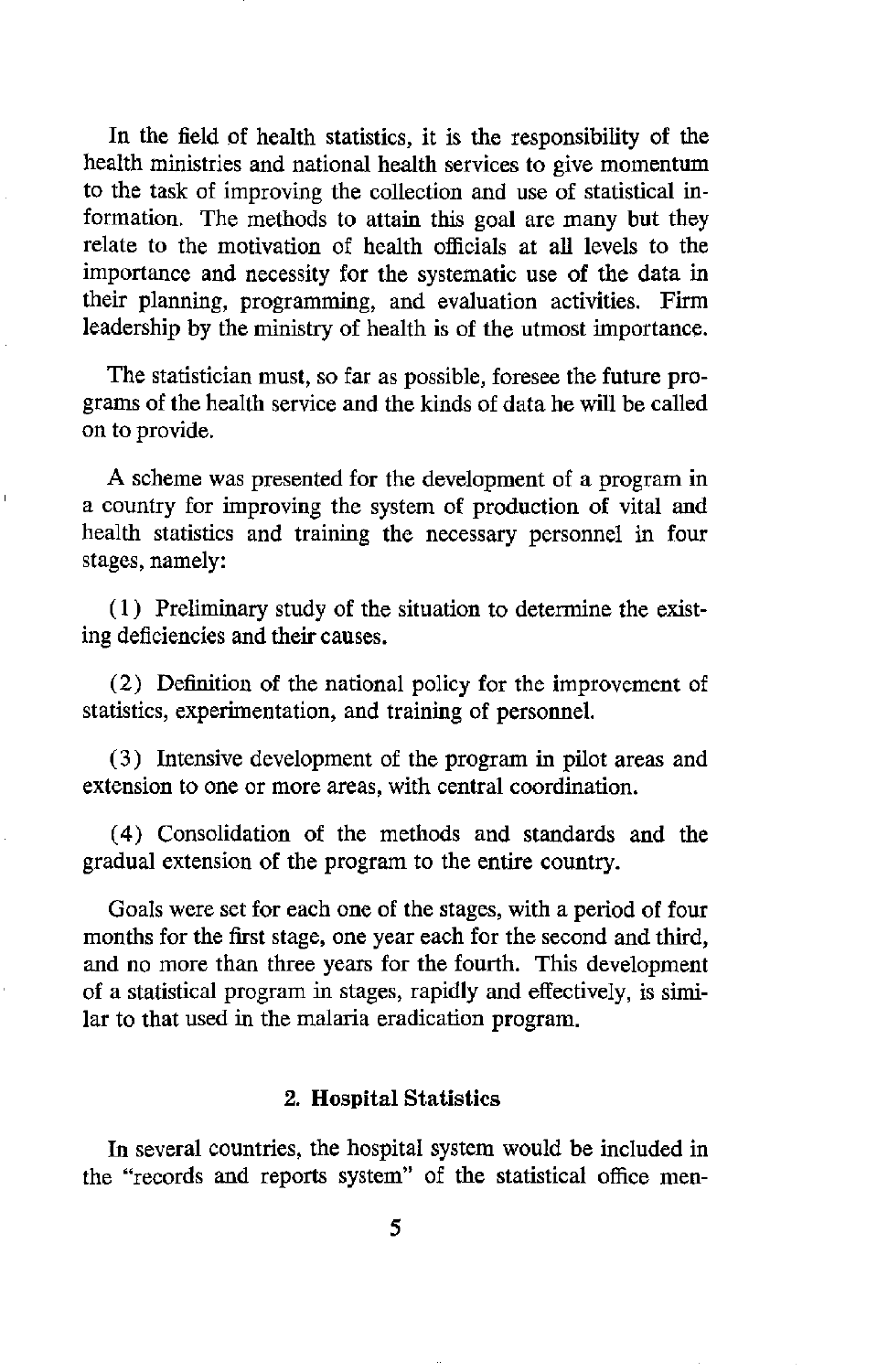In the field of health statistics, it is the responsibility of the health ministries and national health services to give momentum to the task of improving the collection and use of statistical information. The methods to attain this goal are many but they relate to the motivation of health officials at all levels to the importance and necessity for the systematic use of the data in their planning, programming, and evaluation activities. Firm leadership by the ministry of health is of the utmost importance.

The statistician must, so far as possible, foresee the future programs of the health service and the kinds of data he will be called on to provide.

A scheme was presented for the development of a program in a country for improving the system of production of vital and health statistics and training the necessary personnel in four stages, namely:

(1) Preliminary study of the situation to determine the existing deficiencies and their causes.

(2) Definition of the national policy for the improvement of statistics, experimentation, and training of personnel.

(3) Intensive development of the program in pilot areas and extension to one or more areas, with central coordination.

(4) Consolidation of the methods and standards and the gradual extension of the program to the entire country.

Goals were set for each one of the stages, with a period of four months for the first stage, one year each for the second and third, and no more than three years for the fourth. This development of a statistical program in stages, rapidly and effectively, is similar to that used in the malaria eradication program.

### 2. **Hospital Statistics**

In several countries, the hospital system would be included in the "records and reports system" of the statistical office men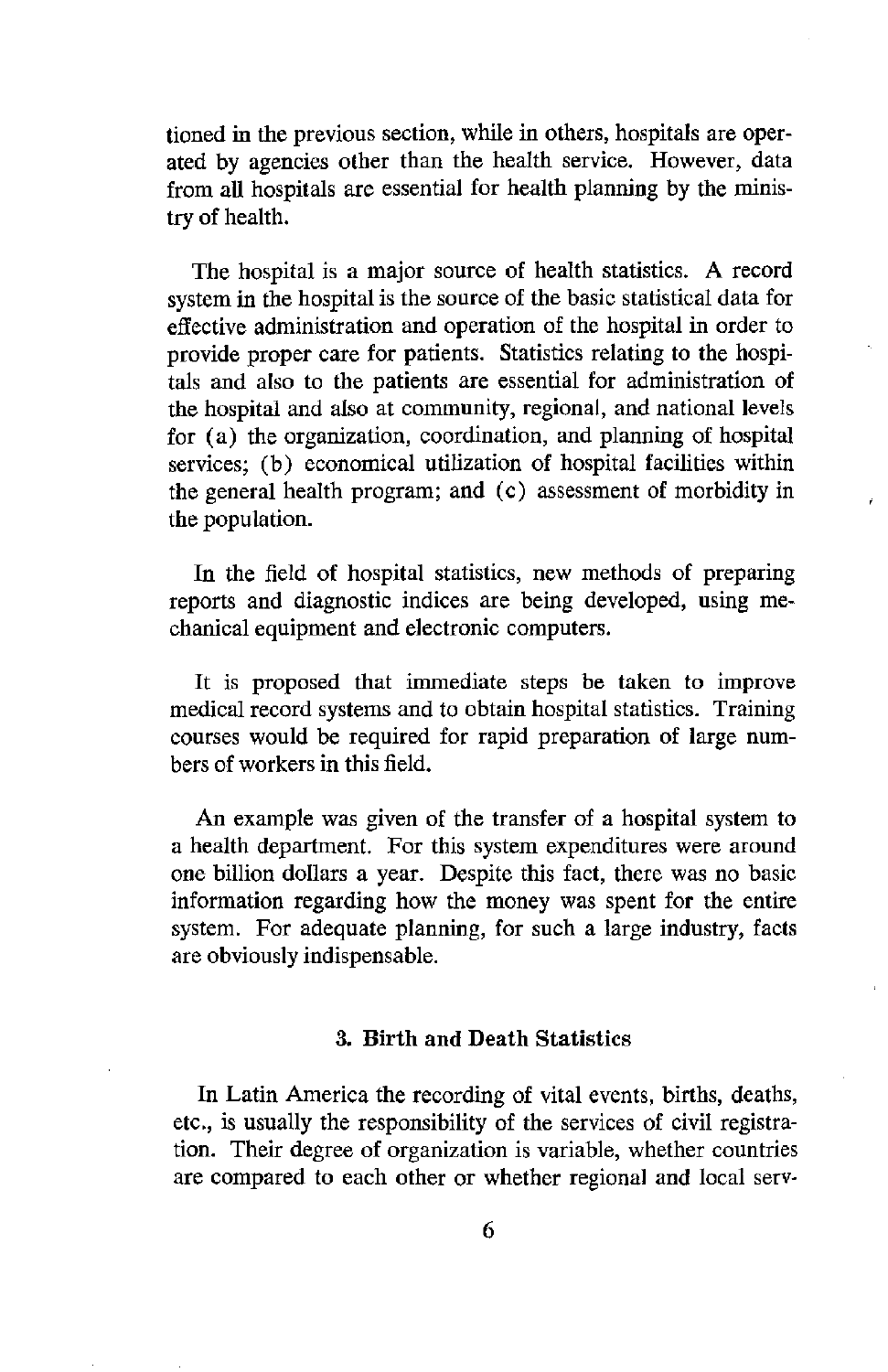tioned in the previous section, while in others, hospitals are operated by agencies other than the health service. However, data from all hospitals are essential for health planning by the ministry of health.

The hospital is a major source of health statistics. A record system in the hospital is the source of the basic statistical data for effective administration and operation of the hospital in order to provide proper care for patients. Statistics relating to the hospitals and also to the patients are essential for administration of the hospital and also at community, regional, and national levels for (a) the organization, coordination, and planning of hospital services: (b) economical utilization of hospital facilities within the general health program; and (c) assessment of morbidity in the population.

In the field of hospital statistics, new methods of preparing reports and diagnostic indices are being developed, using mechanical equipment and electronic computers.

It is proposed that immediate steps be taken to improve medical record systems and to obtain hospital statistics. Training courses would be required for rapid preparation of large numbers of workers in this field.

An example was given of the transfer of a hospital system to a health department. For this system expenditures were around one billion dollars a year. Despite this fact, there was no basic information regarding how the money was spent for the entire system. For adequate planning, for such a large industry, facts are obviously indispensable.

#### 3. **Birth and Death Statistics**

In Latin America the recording of vital events, births, deaths, etc., is usually the responsibility of the services of civil registration. Their degree of organization is variable, whether countries are compared to each other or whether regional and local serv-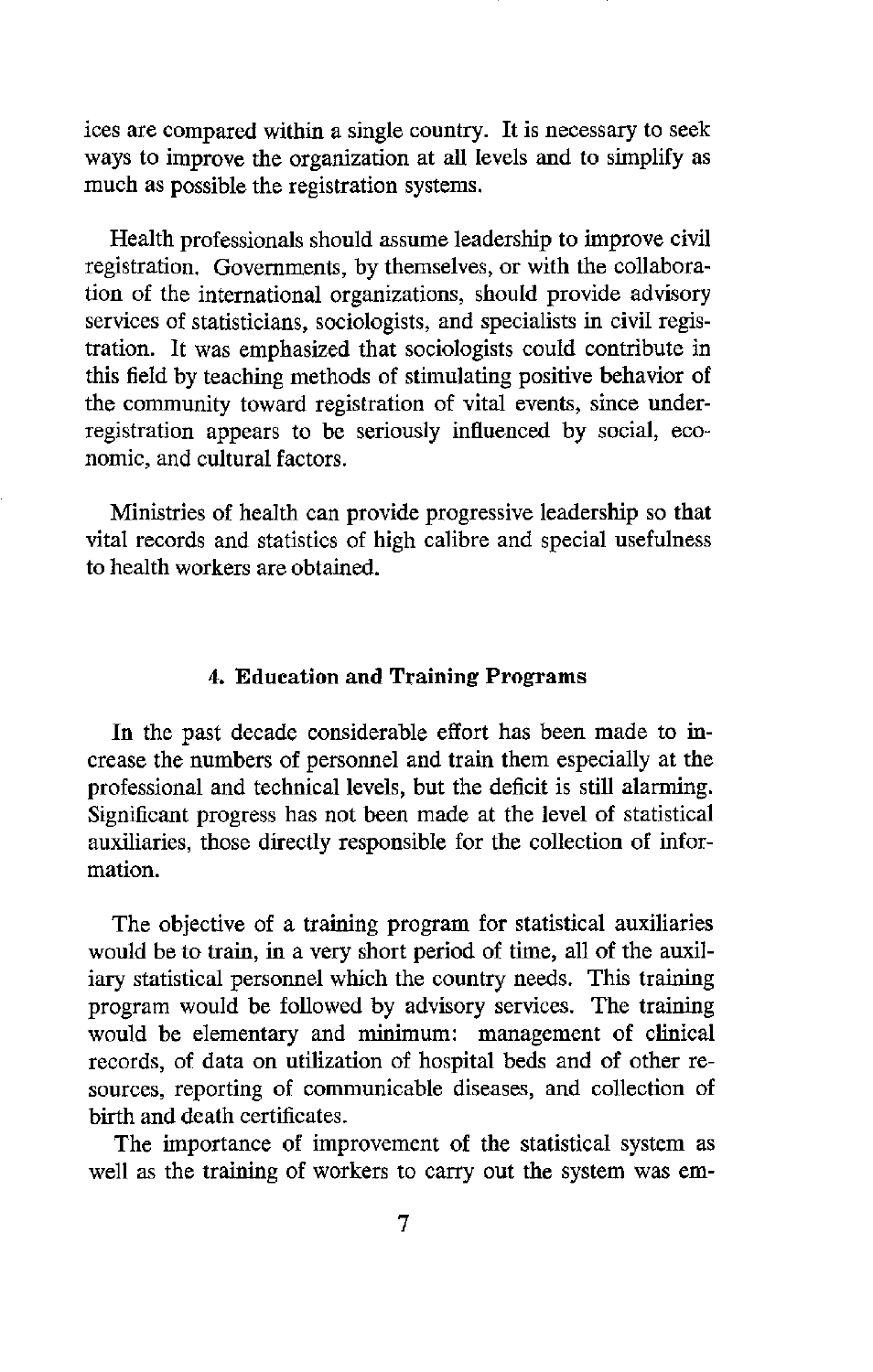ices are compared within a single country. It is necessary to seek ways to improve the organization at all levels and to simplify as much as possible the registration systems.

Health professionals should assume leadership to improve civil registration. Governments, by themselves, or with the collaboration of the international organizations, should provide advisory services of statisticians, sociologists, and specialists in civil registration. It was emphasized that sociologists could contribute in this field by teaching methods of stimulating positive behavior of the community toward registration of vital events, since underregistration appears to be seriously influenced by social, economic, and cultural factors.

Ministries of health can provide progressive leadership so that vital records and statistics of high calibre and special usefulness to health workers are obtained.

#### 4. **Education and Training Programs**

In the past decade considerable effort has been made to increase the numbers of personnel and train them especially at the professional and technical levels, but the deficit is still alarming. Significant progress has not been made at the level of statistical auxiliaries, those directly responsible for the collection of information.

The objective of a training program for statistical auxiliaries would be to train, in a very short period of time, all of the auxiliary statistical personnel which the country needs. This training program would be followed by advisory services. The training would be elementary and minimum: management of clinical records, of data on utilization of hospital beds and of other resources, reporting of communicable diseases, and collection of birth and death certificates.

The importance of improvement of the statistical system as well as the training of workers to carry out the system was em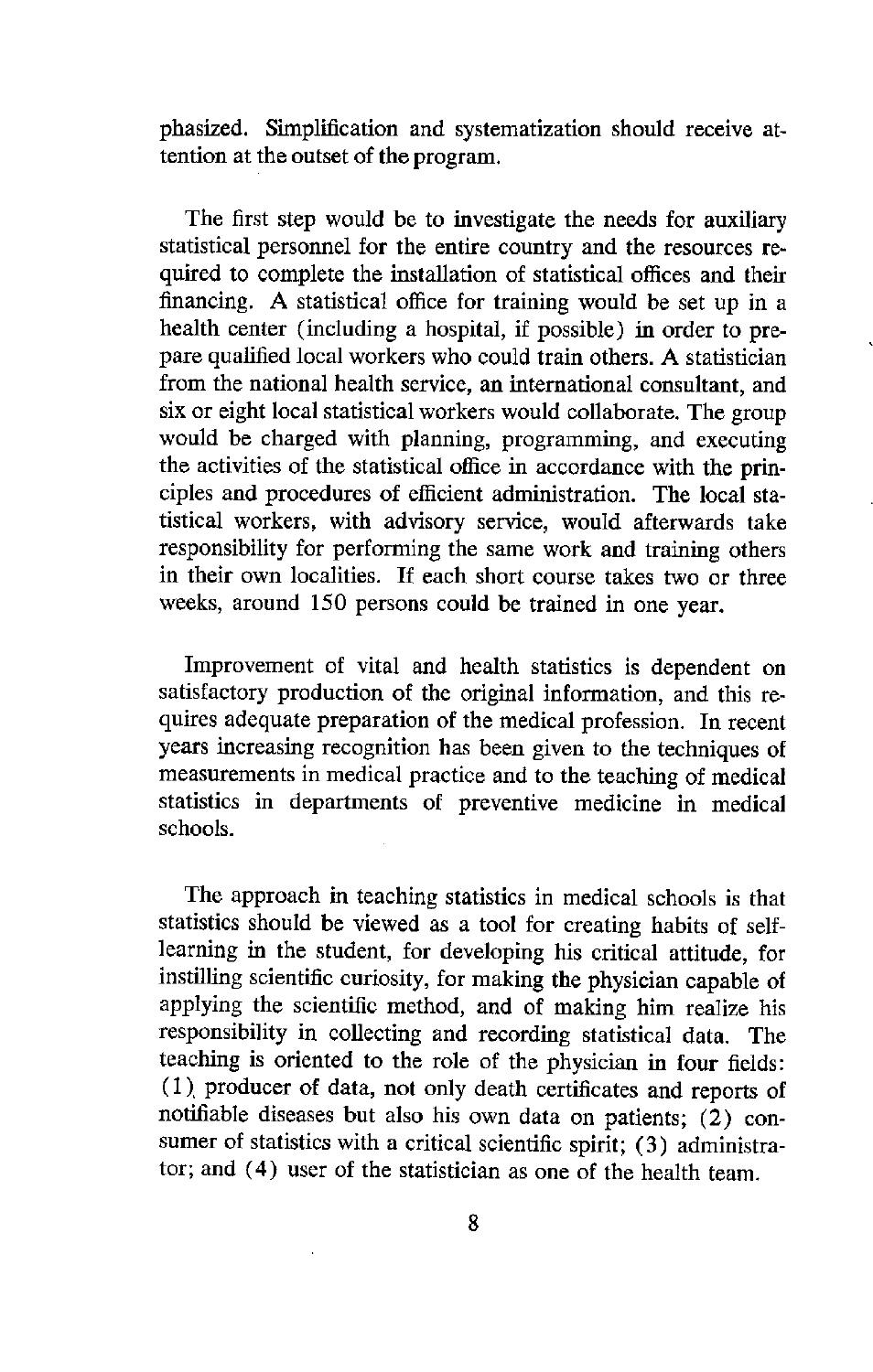phasized. Simplification and systematization should receive attention at the outset of the program.

The first step would be to investigate the needs for auxiliary statistical personnel for the entire country and the resources required to complete the installation of statistical offices and their financing. A statistical office for training would be set up in a health center (including a hospital, if possible) in order to prepare qualified local workers who could train others. A statistician from the national health service, an international consultant, and six or eight local statistical workers would collaborate. The group would be charged with planning, programming, and executing the activities of the statistical office in accordance with the principles and procedures of efficient administration. The local statistical workers, with advisory service, would afterwards take responsibility for performing the same work and training others in their own localities. If each short course takes two or three weeks, around 150 persons could be trained in one year.

Improvement of vital and health statistics is dependent on satisfactory production of the original information, and this requires adequate preparation of the medical profession. In recent years increasing recognition has been given to the techniques of measurements in medical practice and to the teaching of medical statistics in departments of preventive medicine in medical schools.

The approach in teaching statistics in medical schools is that statistics should be viewed as a tool for creating habits of selflearning in the student, for developing his critical attitude, for instilling scientific curiosity, for making the physician capable of applying the scientific method, and of making him realize his responsibility in collecting and recording statistical data. The teaching is oriented to the role of the physician in four fields: (1). producer of data, not only death certificates and reports of notifiable diseases but also his own data on patients; (2) consumer of statistics with a critical scientific spirit; (3) administrator; and (4) user of the statistician as one of the health team.

8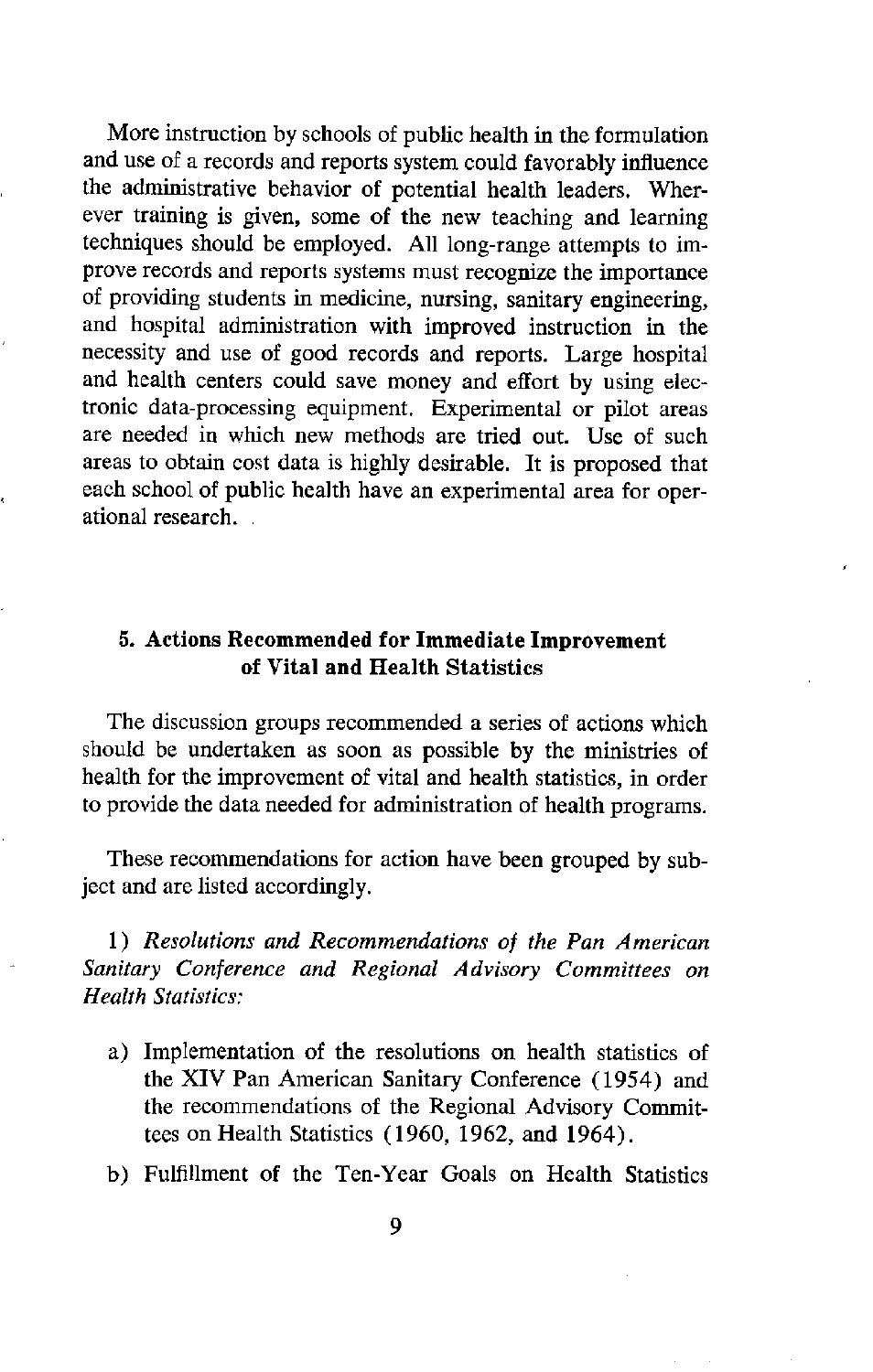More instruction by schools of public health in the formulation and use of a records and reports system could favorably influence the administrative behavior of potential health leaders. Wherever training is given, some of the new teaching and learning techniques should be employed. All long-range attempts to improve records and reports systems must recognize the importance of providing students in medicine, nursing, sanitary engineering, and hospital administration with improved instruction in the necessity and use of good records and reports. Large hospital and health centers could save money and effort by using electronic data-processing equipment. Experimental or pilot areas are needed in which new methods are tried out. Use of such areas to obtain cost data is highly desirable. It is proposed that each school of public health have an experimental area for operational research.

## 5. **Actions Recommended for Immediate Improvement of Vital and Health Statistics**

The discussion groups recommended a series of actions which should be undertaken as soon as possible by the ministries of health for the improvement of vital and health statistics, in order to provide the data needed for administration of health programs.

These recommendations for action have been grouped by subject and are listed accordingly.

*1) Resolutions and Recommendations of the Pan American Sanitary Conference and Regional Advisory Committees on Health Statistics:*

- a) Implementation of the resolutions on health statistics of the XIV Pan American Sanitary Conference (1954) and the recommendations of the Regional Advisory Committees on Health Statistics (1960, 1962, and 1964).
- b) Fulfillment of the Ten-Year Goals on Health Statistics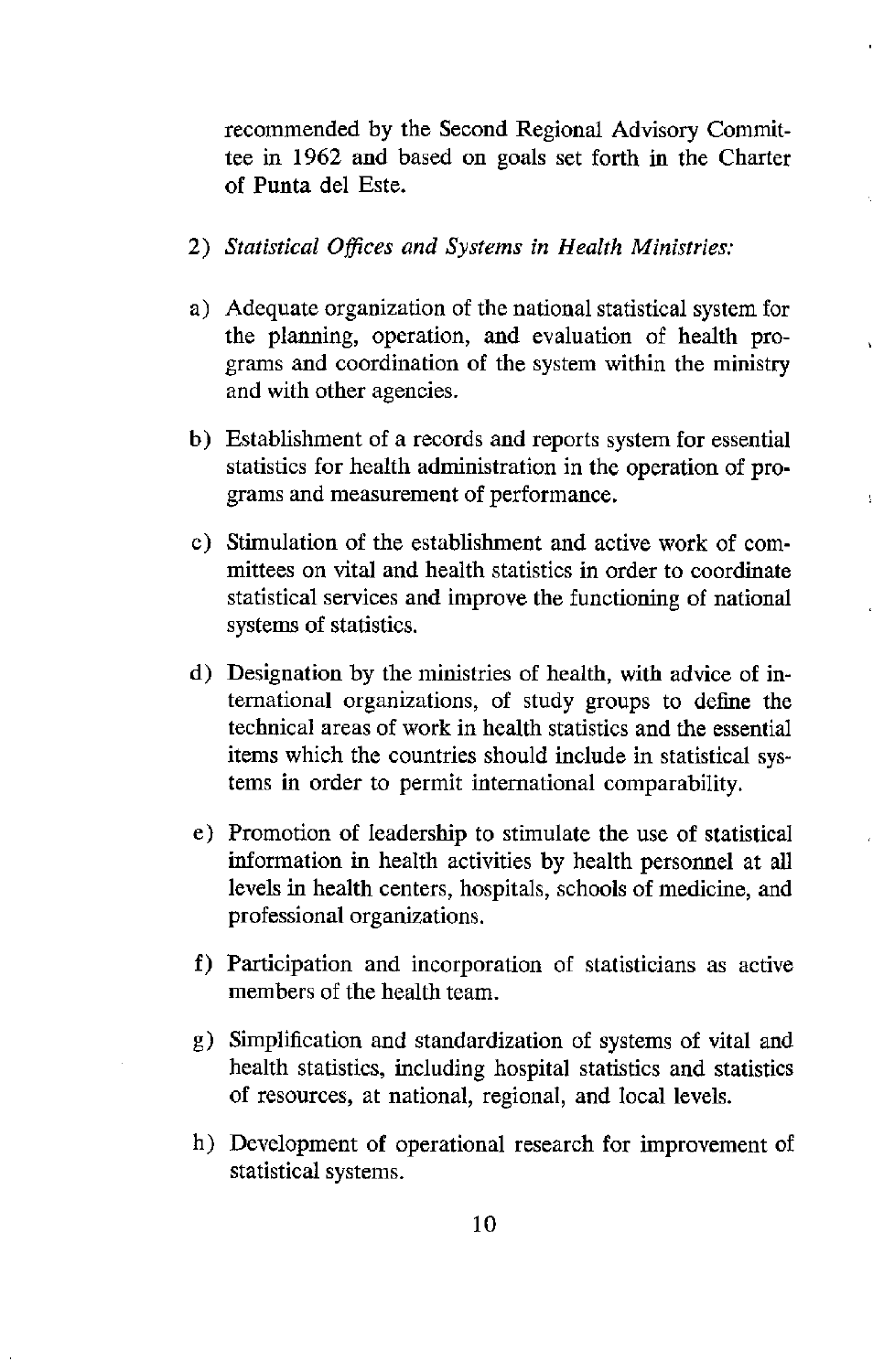recommended by the Second Regional Advisory Committee in 1962 and based on goals set forth in the Charter of Punta del Este.

- 2) *Statistical Offices and Systems in Health Ministries:*
- a) Adequate organization of the national statistical system for the planning, operation, and evaluation of health programs and coordination of the system within the ministry and with other agencies.
- b) Establishment of a records and reports system for essential statistics for health administration in the operation of programs and measurement of performance.
- c) Stimulation of the establishment and active work of committees on vital and health statistics in order to coordinate statistical services and improve the functioning of national systems of statistics.
- d) Designation by the ministries of health, with advice of international organizations, of study groups to define the technical areas of work in health statistics and the essential items which the countries should include in statistical systems in order to permit international comparability.
- e) Promotion of leadership to stimulate the use of statistical information in health activities by health personnel at all levels in health centers, hospitals, schools of medicine, and professional organizations.
- f) Participation and incorporation of statisticians as active members of the health team.
- g) Simplification and standardization of systems of vital and health statistics, including hospital statistics and statistics of resources, at national, regional, and local levels.
- h) Development of operational research for improvement of statistical systems.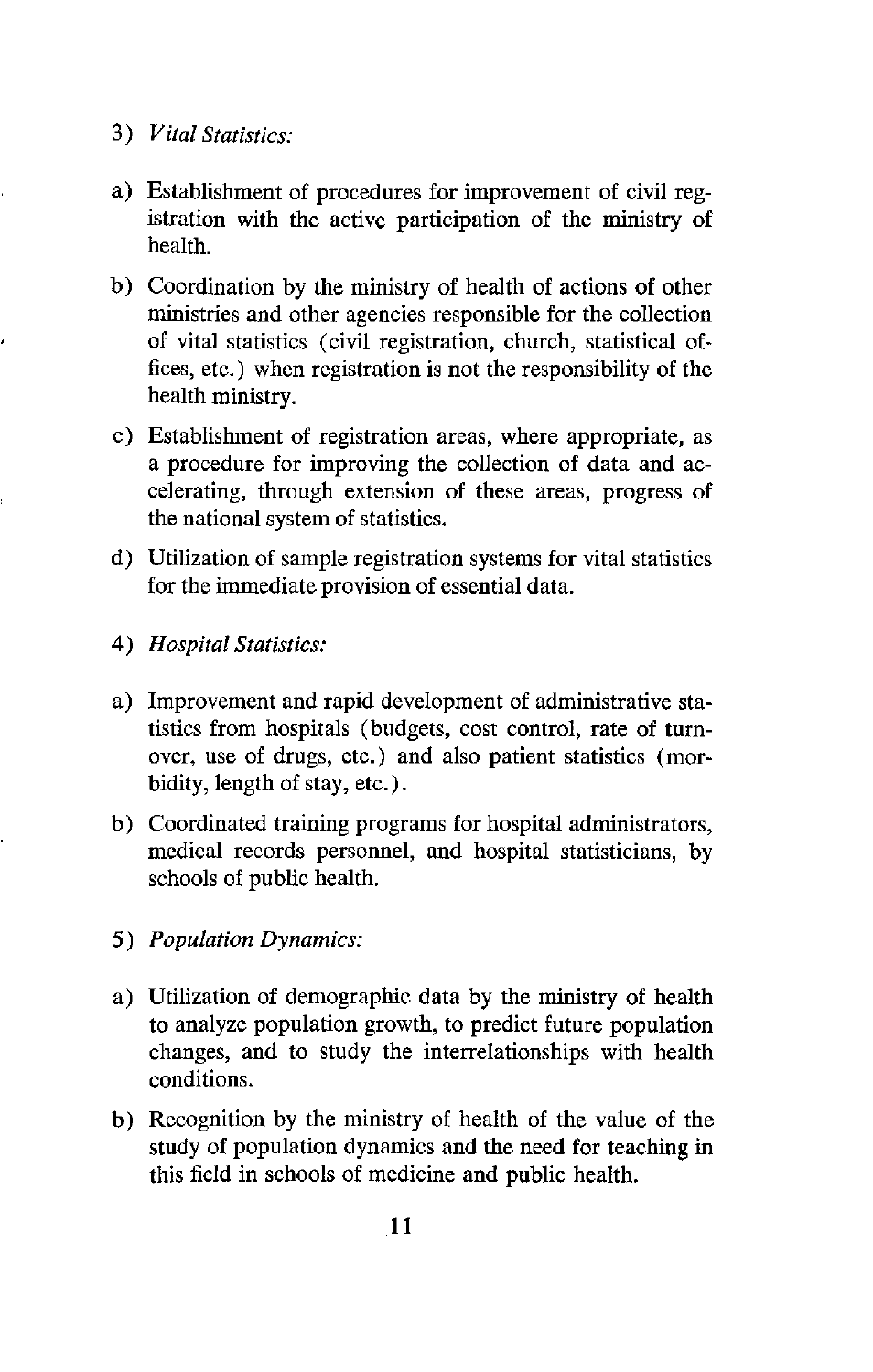- *3) Vital Statistics:*
- a) Establishment of procedures for improvement of civil registration with the active participation of the ministry of health.
- b) Coordination by the ministry of health of actions of other ministries and other agencies responsible for the collection of vital statistics (civil registration, church, statistical offices, etc.) when registration is not the responsibility of the health ministry.
- c) Establishment of registration areas, where appropriate, as a procedure for improving the collection of data and accelerating, through extension of these areas, progress of the national system of statistics.
- d) Utilization of sample registration systems for vital statistics for the immediate provision of essential data.
- *4) Hospital Statistics:*
- a) Improvement and rapid development of administrative statistics from hospitals (budgets, cost control, rate of turnover, use of drugs, etc.) and also patient statistics (morbidity, length of stay, etc.).
- b) Coordinated training programs for hospital administrators, medical records personnel, and hospital statisticians, by schools of public health.
- *5) Population Dynamics:*
- a) Utilization of demographic data by the ministry of health to analyze population growth, to predict future population changes, and to study the interrelationships with health conditions.
- b) Recognition by the ministry of health of the value of the study of population dynamics and the need for teaching in this field in schools of medicine and public health.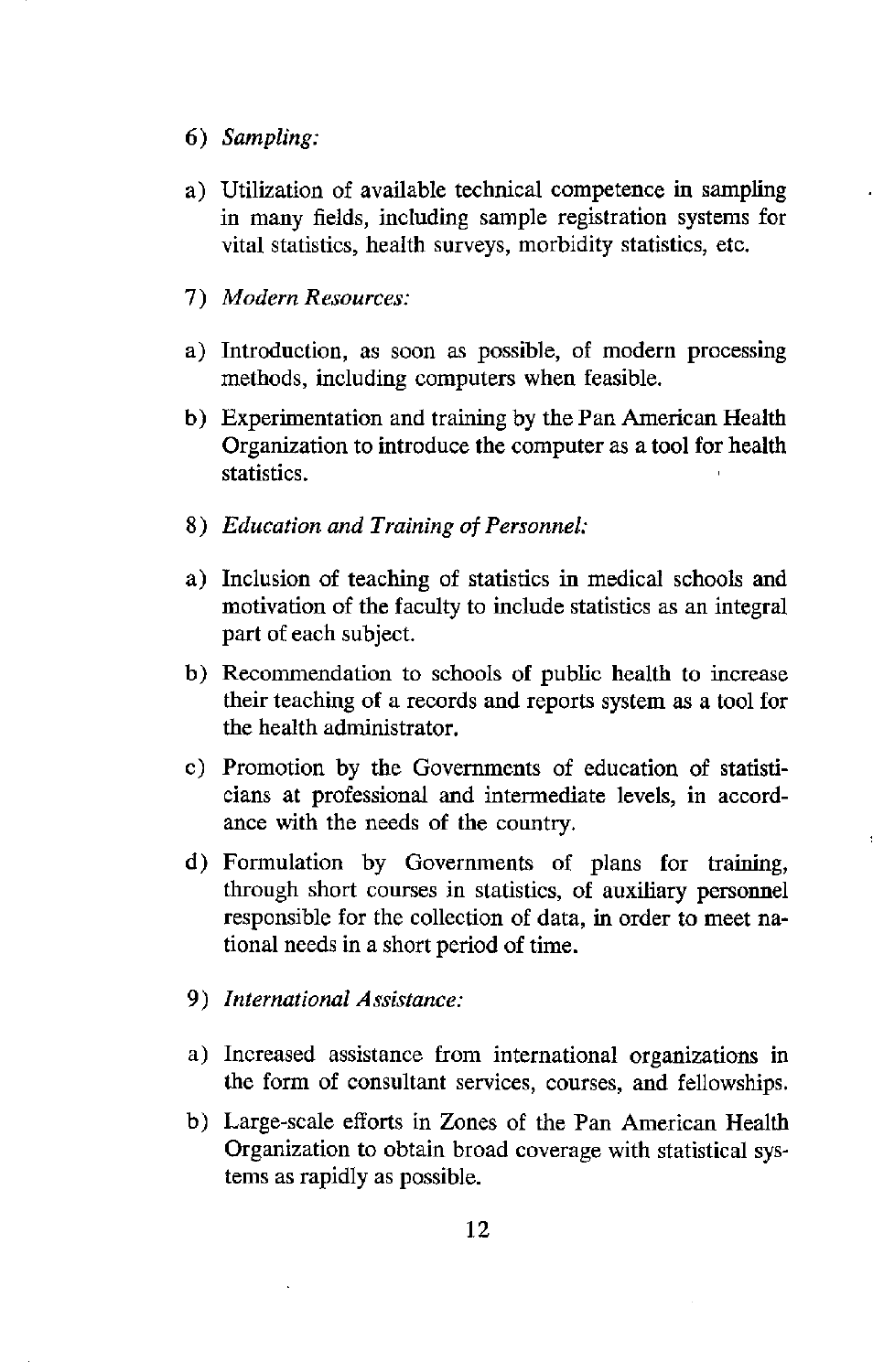- *6) Sampling:*
- a) Utilization of available technical competence in sampling in many fields, including sample registration systems for vital statistics, health surveys, morbidity statistics, etc.
- *7) Modern Resources:*
- a) Introduction, as soon as possible, of modern processing methods, including computers when feasible.
- b) Experimentation and training by the Pan American Health Organization to introduce the computer as a tool for health statistics.
- *8) Education and Training of Personnel:*
- a) Inclusion of teaching of statistics in medical schools and motivation of the faculty to include statistics as an integral part of each subject.
- b) Recommendation to schools of public health to increase their teaching of a records and reports system as a tool for the health administrator.
- c) Promotion by the Governments of education of statisticians at professional and intermediate levels, in accordance with the needs of the country.
- d) Formulation by Governments of plans for training, through short courses in statistics, of auxiliary personnel responsible for the collection of data, in order to meet national needs in a short period of time.
- *9) International Assistance:*
- a) Increased assistance from international organizations in the form of consultant services, courses, and fellowships.
- b) Large-scale efforts in Zones of the Pan American Health Organization to obtain broad coverage with statistical systems as rapidly as possible.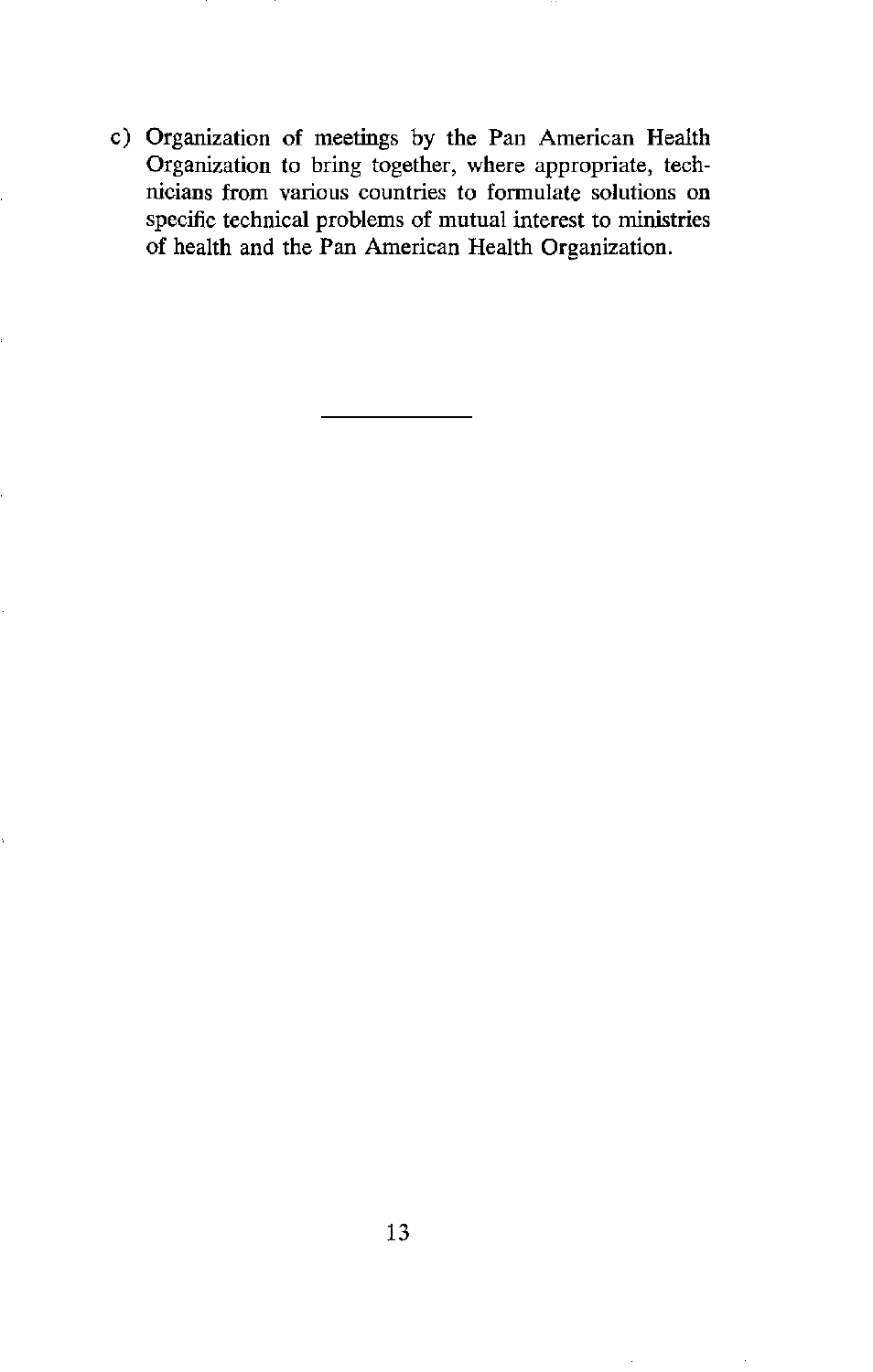c) Organization of meetings by the Pan American Health Organization to bring together, where appropriate, technicians from various countries to formulate solutions on specific technical problems of mutual interest to ministries of health and the Pan American Health Organization.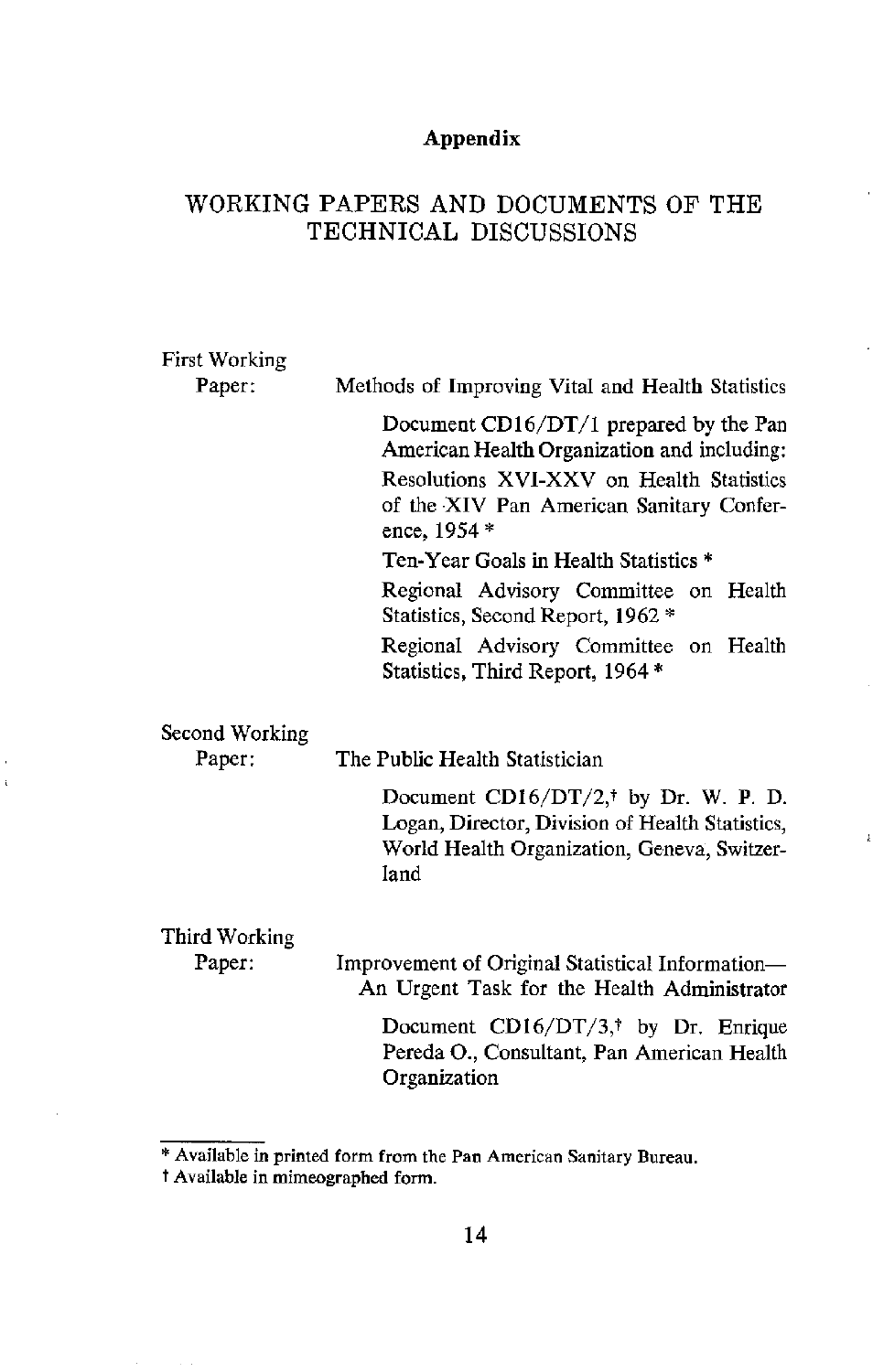## **Appendix**

## WORKING PAPERS AND DOCUMENTS OF THE TECHNICAL DISCUSSIONS

| First Working            |                                                                                                                                                                                                 |
|--------------------------|-------------------------------------------------------------------------------------------------------------------------------------------------------------------------------------------------|
| Paper:                   | Methods of Improving Vital and Health Statistics                                                                                                                                                |
|                          | Document $CD16/DT/1$ prepared by the Pan<br>American Health Organization and including:<br>Resolutions XVI-XXV on Health Statistics<br>of the XIV Pan American Sanitary Confer-<br>ence, 1954 * |
|                          | Ten-Year Goals in Health Statistics *                                                                                                                                                           |
|                          | Regional Advisory Committee on Health<br>Statistics, Second Report, 1962 *                                                                                                                      |
|                          | Regional Advisory Committee on Health<br>Statistics, Third Report, 1964*                                                                                                                        |
| Second Working<br>Paper: | The Public Health Statistician                                                                                                                                                                  |
|                          | Document CD16/DT/2, <sup>†</sup> by Dr. W. P. D.<br>Logan, Director, Division of Health Statistics,<br>World Health Organization, Geneva, Switzer-<br>land                                      |
| Third Working            |                                                                                                                                                                                                 |

 $\ddot{\phantom{a}}$ 

Paper: Improvement of Original Statistical Information-An Urgent Task for the Health Administrator

> Document CD16/DT/3,<sup>†</sup> by Dr. Enrique Pereda O., Consultant, Pan American Health Organization

<sup>\*</sup> Available in printed form from the Pan American Sanitary Bureau.

t Available in mimeographed form.